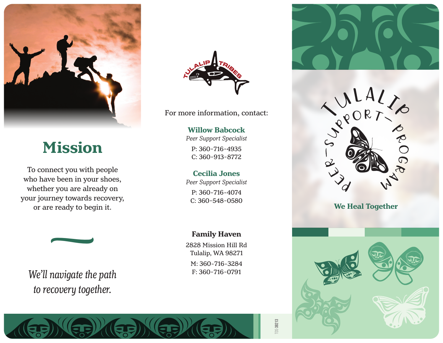

# **Mission**

To connect you with people who have been in your shoes, whether you are already on your journey towards recovery, or are ready to begin it.



We'll navigate the path *to recovery together.*



For more information, contact:

### **Willow Babcock**

*Peer Support Specialist*

P: 360¯716¯4935 C: 360¯913¯8772

#### **Cecilia Jones**

*Peer Support Specialist* P: 360-716-4074 C: 360-548-0580

### **Family Haven**

2828 Mission Hill Rd Tulalip, WA 98271 M: 360-716-3284<br>F: 360-716-0791









TDS-**38213**